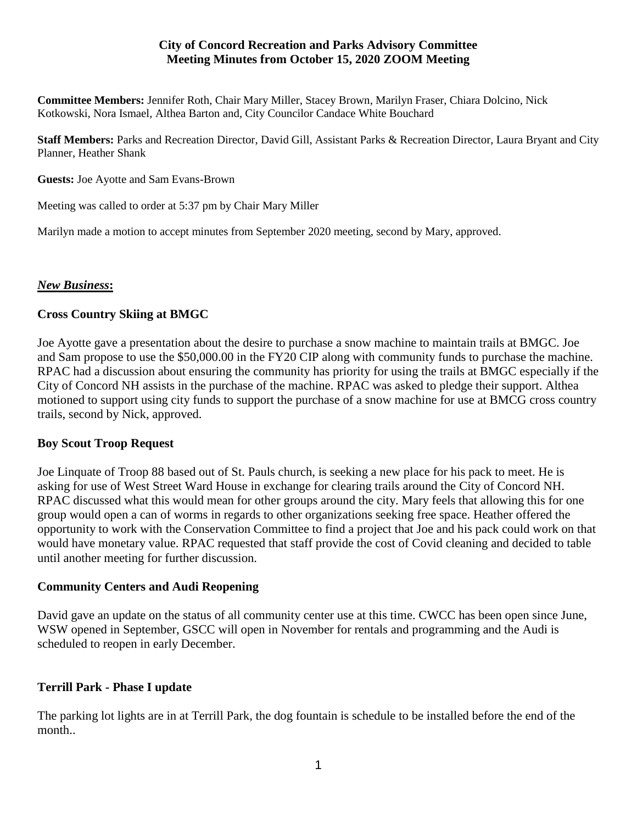## **City of Concord Recreation and Parks Advisory Committee Meeting Minutes from October 15, 2020 ZOOM Meeting**

**Committee Members:** Jennifer Roth, Chair Mary Miller, Stacey Brown, Marilyn Fraser, Chiara Dolcino, Nick Kotkowski, Nora Ismael, Althea Barton and, City Councilor Candace White Bouchard

**Staff Members:** Parks and Recreation Director, David Gill, Assistant Parks & Recreation Director, Laura Bryant and City Planner, Heather Shank

**Guests:** Joe Ayotte and Sam Evans-Brown

Meeting was called to order at 5:37 pm by Chair Mary Miller

Marilyn made a motion to accept minutes from September 2020 meeting, second by Mary, approved.

#### *New Business***:**

## **Cross Country Skiing at BMGC**

Joe Ayotte gave a presentation about the desire to purchase a snow machine to maintain trails at BMGC. Joe and Sam propose to use the \$50,000.00 in the FY20 CIP along with community funds to purchase the machine. RPAC had a discussion about ensuring the community has priority for using the trails at BMGC especially if the City of Concord NH assists in the purchase of the machine. RPAC was asked to pledge their support. Althea motioned to support using city funds to support the purchase of a snow machine for use at BMCG cross country trails, second by Nick, approved.

#### **Boy Scout Troop Request**

Joe Linquate of Troop 88 based out of St. Pauls church, is seeking a new place for his pack to meet. He is asking for use of West Street Ward House in exchange for clearing trails around the City of Concord NH. RPAC discussed what this would mean for other groups around the city. Mary feels that allowing this for one group would open a can of worms in regards to other organizations seeking free space. Heather offered the opportunity to work with the Conservation Committee to find a project that Joe and his pack could work on that would have monetary value. RPAC requested that staff provide the cost of Covid cleaning and decided to table until another meeting for further discussion.

#### **Community Centers and Audi Reopening**

David gave an update on the status of all community center use at this time. CWCC has been open since June, WSW opened in September, GSCC will open in November for rentals and programming and the Audi is scheduled to reopen in early December.

#### **Terrill Park - Phase I update**

The parking lot lights are in at Terrill Park, the dog fountain is schedule to be installed before the end of the month..